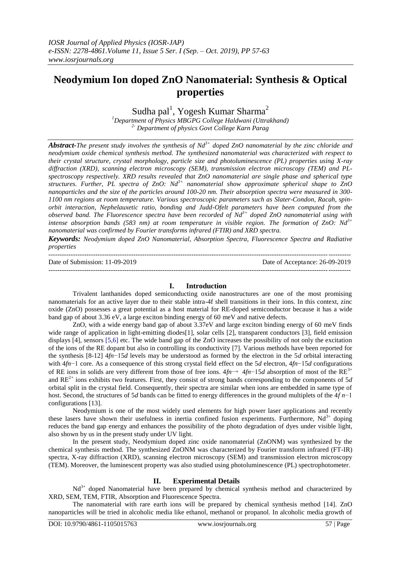# **Neodymium Ion doped ZnO Nanomaterial: Synthesis & Optical properties**

Sudha pal<sup>1</sup>, Yogesh Kumar Sharma<sup>2</sup>

*<sup>1</sup>Department of Physics MBGPG College Haldwani (Uttrakhand) 2- Department of physics Govt College Karn Parag*

*Abstract-The present study involves the synthesis of Nd3+ doped ZnO nanomaterial by the zinc chloride and neodymium oxide chemical synthesis method. The synthesized nanomaterial was characterized with respect to their crystal structure, crystal morphology, particle size and photoluminescence (PL) properties using X-ray diffraction (XRD), scanning electron microscopy (SEM), transmission electron microscopy (TEM) and PLspectroscopy respectively. XRD results revealed that ZnO nanomaterial are single phase and spherical type structures. Further, PL spectra of ZnO: Nd3+ nanomaterial show approximate spherical shape to ZnO nanoparticles and the size of the particles around 100-20 nm. Their absorption spectra were measured in 300- 1100 nm regions at room temperature. Various spectroscopic parameters such as Slater-Condon, Racah, spinorbit interaction, Nephelauxetic ratio, bonding and Judd-Ofelt parameters have been computed from the observed band. The Fluorescence spectra have been recorded of Nd3+ doped ZnO nanomaterial using with intense absorption bands (583 nm) at room temperature in visible region. The formation of ZnO: Nd3+ nanomaterial was confirmed by Fourier transforms infrared (FTIR) and XRD spectra.*

*Keywords: Neodymium doped ZnO Nanomaterial, Absorption Spectra, Fluorescence Spectra and Radiative properties*

--------------------------------------------------------------------------------------------------------------------------------------- Date of Submission: 11-09-2019 Date of Acceptance: 26-09-2019 ---------------------------------------------------------------------------------------------------------------------------------------

### **I. Introduction**

Trivalent lanthanides doped semiconducting oxide nanostructures are one of the most promising nanomaterials for an active layer due to their stable intra-4f shell transitions in their ions. In this context, zinc oxide (ZnO) possesses a great potential as a host material for RE-doped semiconductor because it has a wide band gap of about 3.36 eV, a large exciton binding energy of 60 meV and native defects.

ZnO, with a wide energy band gap of about 3.37eV and large exciton binding energy of 60 meV finds wide range of application in light-emitting diodes<sup>[1]</sup>, solar cells [2], transparent conductors [3], field emission displays [4], sensors [5,6] etc. The wide band gap of the ZnO increases the possibility of not only the excitation of the ions of the RE dopant but also in controlling its conductivity [7]. Various methods have been reported for the synthesis [8-12] 4*fn*−15*d* levels may be understood as formed by the electron in the 5*d* orbital interacting with 4*fn*−1 core. As a consequence of this strong crystal field effect on the 5*d* electron, 4*fn*−15*d* configurations of RE ions in solids are very different from those of free ions. 4*fn*→ 4*fn*−15*d* absorption of most of the RE3+ and  $RE^{2+}$  ions exhibits two features. First, they consist of strong bands corresponding to the components of 5*d* orbital split in the crystal field. Consequently, their spectra are similar when ions are embedded in same type of host. Second, the structures of 5*d* bands can be fitted to energy differences in the ground multiplets of the 4*f n*−1 configurations [13].

Neodymium is one of the most widely used elements for high power laser applications and recently these lasers have shown their usefulness in inertia confined fusion experiments. Furthermore,  $Nd<sup>3+</sup>$  doping reduces the band gap energy and enhances the possibility of the photo degradation of dyes under visible light, also shown by us in the present study under UV light.

In the present study, Neodymium doped zinc oxide nanomaterial (ZnONM) was synthesized by the chemical synthesis method. The synthesized ZnONM was characterized by Fourier transform infrared (FT-IR) spectra, X-ray diffraction (XRD), scanning electron microscopy (SEM) and transmission electron microscopy (TEM). Moreover, the luminescent property was also studied using photoluminescence (PL) spectrophotometer.

#### **II. Experimental Details**

 $Nd^{3+}$  doped Nanomaterial have been prepared by chemical synthesis method and characterized by XRD, SEM, TEM, FTIR, Absorption and Fluorescence Spectra.

The nanomaterial with rare earth ions will be prepared by chemical synthesis method [14]. ZnO nanoparticles will be tried in alcoholic media like ethanol, methanol or propanol. In alcoholic media growth of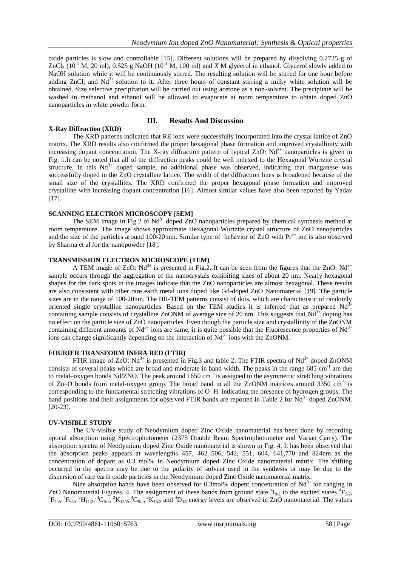oxide particles is slow and controllable [15]. Different solutions will be prepared by dissolving 0.2725 g of ZnCl<sub>2</sub> (10<sup>-1</sup> M, 20 ml), 0.525 g NaOH (10<sup>-1</sup> M, 100 ml) and *X* M glycerol in ethanol. Glycerol slowly added to NaOH solution while it will be continuously stirred. The resulting solution will be stirred for one hour before adding  $ZnCl_2$  and  $Nd^{3+}$  solution to it. After three hours of constant stirring a milky white solution will be obtained. Size selective precipitation will be carried out using acetone as a non-solvent. The precipitate will be washed in methanol and ethanol will be allowed to evaporate at room temperature to obtain doped ZnO nanoparticles in white powder form.

## **III. Results And Discussion**

**X-Ray Diffraction (XRD)** The XRD patterns indicated that RE ions were successfully incorporated into the crystal lattice of ZnO matrix. The XRD results also confirmed the proper hexagonal phase formation and improved crystallinity with increasing dopant concentration. The X-ray diffraction pattern of typical ZnO:  $Nd<sup>3+</sup>$  nanoparticles is given in Fig. 1.It can be noted that all of the diffraction peaks could be well indexed to the Hexagonal Wurtzite crystal structure. In this  $Nd^{3+}$  doped sample, no additional phase was observed, indicating that manganese was successfully doped in the ZnO crystalline lattice. The width of the diffraction lines is broadened because of the small size of the crystallites. The XRD confirmed the proper hexagonal phase formation and improved crystalline with increasing dopant concentration [16]. Almost similar values have also been reported by Yadav [17].

#### **SCANNING ELECTRON MICROSCOPY** [**SEM]**

The SEM image in Fig.2 of  $Nd^{3+}$  doped ZnO nanoparticles prepared by chemical synthesis method at room temperature. The image shows approximate Hexagonal Wurtzite crystal structure of ZnO nanoparticles and the size of the particles around 100-20 nm. Similar type of behavior of  $ZnO$  with  $Pr<sup>3+</sup>$  ion is also observed by Sharma et al for the nanopowder [18].

#### **TRANSMISSION ELECTRON MICROSCOPE (TEM)**

A TEM image of ZnO: Nd<sup>3+</sup> is presented in Fig.2. It can be seen from the figures that the ZnO: Nd<sup>3+</sup> sample occurs through the aggregation of the nanocrystals exhibiting sizes of about 20 nm. Nearly hexagonal shapes for the dark spots in the images indicate that the ZnO nanoparticles are almost hexagonal. These results are also consistent with other rare earth metal ions doped like Gd-doped ZnO Nanomaterial [19]. The particle sizes are in the range of 100-20nm. The HR-TEM patterns consist of dots, which are characteristic of randomly oriented single crystalline nanoparticles. Based on the TEM studies it is inferred that as prepared  $Nd<sup>3+</sup>$ containing sample consists of crystalline ZnONM of average size of 20 nm. This suggests that  $Nd^{3+}$  doping has no effect on the particle size of ZnO nanoparticles. Even though the particle size and crystallinity of the ZnONM containing different amounts of  $Nd^{3+}$  ions are same, it is quite possible that the Fluorescence properties of  $Nd^{3+}$ ions can change significantly depending on the interaction of  $Nd^{3+}$  ions with the ZnONM.

#### **FOURIER TRANSFORM INFRA RED (FTIR)**

FTIR image of ZnO: Nd<sup>3+</sup> is presented in Fig.3 and table 2. The FTIR spectra of Nd<sup>3+</sup> doped ZnONM consists of several peaks which are broad and moderate in band width. The peaks in the range 685 cm<sup>-1</sup> are due to metal–oxygen bonds Nd/ZNO. The peak around  $1650 \text{ cm}^{-1}$  is assigned to the asymmetric stretching vibrations of Zn–O bonds from metal-oxygen group. The broad band in all the ZnONM matrices around 3350 cm<sup>-1</sup> is corresponding to the fundamental stretching vibrations of O–H indicating the presence of hydrogen groups. The band positions and their assignments for observed FTIR bands are reported in Table 2 for Nd<sup>3+</sup> doped ZnONM. [20-23].

#### **UV-VISIBLE STUDY**

The UV-visible study of Neodymium doped Zinc Oxide nanomaterial has been done by recording optical absorption using Spectrophotometer (2375 Double Beam Spectrophotometer and Varian Carry). The absorption spectra of Neodymium doped Zinc Oxide nanomaterial is shown in Fig. 4. It has been observed that the absorption peaks appears at wavelengths 457, 462 506, 542, 551, 604, 641,770 and 824nm as the concentration of dopant as 0.3 mol% in Neodymium doped Zinc Oxide nanomaterial matrix. The shifting occurred in the spectra may be due to the polarity of solvent used in the synthesis or may be due to the dispersion of rare earth oxide particles in the Neodymium doped Zinc Oxide nanomaterial matrix.

Nine absorption bands have been observed for 0.3mol% dopent concentration of  $Nd<sup>3+</sup>$  ion ranging in ZnO Nanomaterial Figures. 4. The assignment of these bands from ground state  ${}^4I_{9/2}$  to the excited states  ${}^4F_{5/2}$ ,  ${}^{4}F_{7/2}$ ,  ${}^{4}F_{9/2}$ ,  ${}^{2}H_{11/2}$ ,  ${}^{4}G_{5/2}$ ,  ${}^{2}K_{13/2}$ ,  ${}^{4}G_{9/2}$ ,  ${}^{2}K_{15/2}$  and  ${}^{4}D_{3/2}$  energy levels are observed in ZnO nanomaterial. The values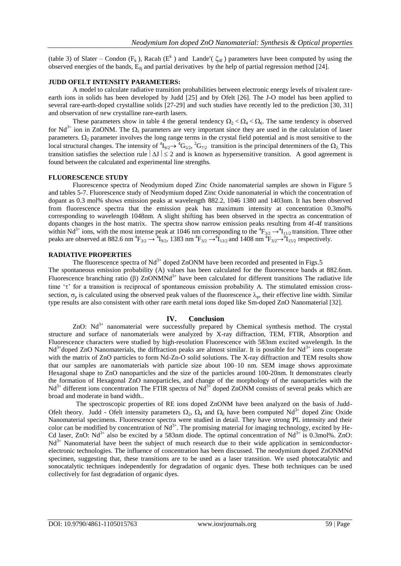(table 3) of Slater – Condon ( $F_k$ ), Racah ( $E^k$ ) and Lande'( $\zeta_{4f}$ ) parameters have been computed by using the observed energies of the bands,  $E_{0i}$  and partial derivatives by the help of partial regression method [24].

#### **JUDD OFELT INTENSITY PARAMETERS:**

A model to calculate radiative transition probabilities between electronic energy levels of trivalent rareearth ions in solids has been developed by Judd [25] and by Ofelt [26]. The J-O model has been applied to several rare-earth-doped crystalline solids [27-29] and such studies have recently led to the prediction [30, 31] and observation of new crystalline rare-earth lasers.

These parameters show in table 4 the general tendency  $\Omega_2 < \Omega_4 < \Omega_6$ . The same tendency is observed for Nd<sup>3+</sup> ion in ZnONM. The  $\Omega_{\lambda}$  parameters are very important since they are used in the calculation of laser parameters.  $\Omega_2$  parameter involves the long range terms in the crystal field potential and is most sensitive to the local structural changes. The intensity of  ${}^4I_{9/2} \rightarrow {}^4G_{5/2}$ ,  ${}^2G_{7/2}$  transition is the principal determiners of the  $\Omega_2$ . This transition satisfies the selection rule  $|\Delta J| \le 2$  and is known as hypersensitive transition. A good agreement is found between the calculated and experimental line strengths.

#### **FLUORESCENCE STUDY**

Fluorescence spectra of Neodymium doped Zinc Oxide nanomaterial samples are shown in Figure 5 and tables 5-7. Fluorescence study of Neodymium doped Zinc Oxide nanomaterial in which the concentration of dopant as 0.3 mol% shows emission peaks at wavelength 882.2, 1046 1380 and 1403nm. It has been observed from fluorescence spectra that the emission peak has maximum intensity at concentration 0.3mol% corresponding to wavelength 1048nm. A slight shifting has been observed in the spectra as concentration of dopants changes in the host matrix. The spectra show narrow emission peaks resulting from 4f-4f transitions within Nd<sup>3+</sup> ions, with the most intense peak at 1046 nm corresponding to the  ${}^4F_{3/2} \rightarrow {}^4I_{11/2}$  transition. Three other peaks are observed at 882.6 nm  ${}^{4}F_{3/2} \rightarrow {}^{4}I_{9/2}$ , 1383 nm  ${}^{4}F_{3/2} \rightarrow {}^{4}I_{13/2}$  and 1408 nm  ${}^{4}F_{3/2} \rightarrow {}^{4}I_{15/2}$  respectively.

#### **RADIATIVE PROPERTIES**

The fluorescence spectra of  $Nd^{3+}$  doped ZnONM have been recorded and presented in Figs.5 The spontaneous emission probability (A) values has been calculated for the fluorescence bands at 882.6nm. Fluorescence branching ratio ( $\beta$ ) ZnONMNd<sup>3+</sup> have been calculated for different transitions The radiative life time  $\tau$  for a transition is reciprocal of spontaneous emission probability A. The stimulated emission crosssection,  $\sigma_p$  is calculated using the observed peak values of the fluorescence  $\lambda_p$ , their effective line width. Similar type results are also consistent with other rare earth metal ions doped like Sm-doped ZnO Nanomaterial [32].

#### **IV. Conclusion**

ZnO:  $Nd^{3+}$  nanomaterial were successfully prepared by Chemical synthesis method. The crystal structure and surface of nanomaterials were analyzed by X-ray diffraction, TEM, FTIR, Absorption and Fluorescence characters were studied by high-resolution Fluorescence with 583nm excited wavelength. In the  $Nd<sup>3+</sup>$ doped ZnO Nanomaterials, the diffraction peaks are almost similar. It is possible for  $Nd<sup>3+</sup>$  ions cooperate with the matrix of ZnO particles to form Nd-Zn-O solid solutions. The X-ray diffraction and TEM results show that our samples are nanomaterials with particle size about 100–10 nm. SEM image shows approximate Hexagonal shape to ZnO nanoparticles and the size of the particles around 100-20nm. It demonstrates clearly the formation of Hexagonal ZnO nanoparticles, and change of the morphology of the nanoparticles with the  $Nd<sup>3+</sup>$  different ions concentration The FTIR spectra of Nd<sup>3+</sup> doped ZnONM consists of several peaks which are broad and moderate in band width..

 The spectroscopic properties of RE ions doped ZnONM have been analyzed on the basis of Judd-Ofelt theory. Judd - Ofelt intensity parameters  $\Omega_2$ ,  $\Omega_4$  and  $\Omega_6$  have been computed Nd<sup>3+</sup> doped Zinc Oxide Nanomaterial specimens. Fluorescence spectra were studied in detail. They have strong PL intensity and their color can be modified by concentration of  $Nd^{3+}$ . The promising material for imaging technology, excited by He-Cd laser, ZnO:  $Nd^{3+}$  also be excited by a 583nm diode. The optimal concentration of  $Nd^{3+}$  is 0.3mol%. ZnO:  $Nd<sup>3+</sup>$  Nanomaterial have been the subject of much research due to their wide application in semiconductorelectronic technologies. The influence of concentration has been discussed. The neodymium doped ZnONMNd specimen, suggesting that, these transitions are to be used as a laser transition. We used photocatalytic and sonocatalytic techniques independently for degradation of organic dyes. These both techniques can be used collectively for fast degradation of organic dyes.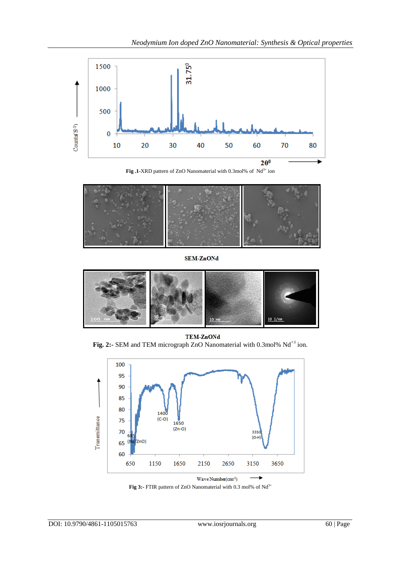

Fig .1-XRD pattern of ZnO Nanomaterial with 0.3mol% of Nd<sup>3+</sup> ion



**SEM-ZnONd** 



**TEM-ZnONd** Fig. 2:- SEM and TEM micrograph ZnO Nanomaterial with 0.3mol% Nd<sup>+3</sup> ion.



Fig 3:- FTIR pattern of ZnO Nanomaterial with 0.3 mol% of Nd<sup>3+</sup>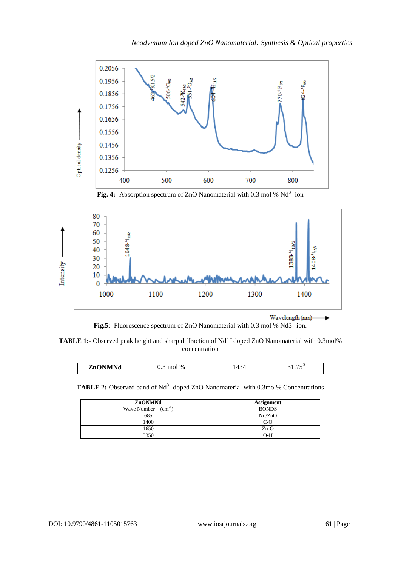

Fig. 4:- Absorption spectrum of ZnO Nanomaterial with 0.3 mol % Nd<sup>3+</sup> ion



**Fig.5**:- Fluorescence spectrum of ZnO Nanomaterial with 0.3 mol % Nd3<sup>+</sup> ion.

**TABLE 1:-** Observed peak height and sharp diffraction of Nd<sup>3+</sup> doped ZnO Nanomaterial with 0.3mol% concentration

| . <del>.</del> .<br>$\sim$<br>-<br>ZnO<br>$\%$<br>THQ.<br>. .<br>. |  |  |
|--------------------------------------------------------------------|--|--|
|                                                                    |  |  |

**TABLE 2:-**Observed band of Nd<sup>3+</sup> doped ZnO Nanomaterial with 0.3mol% Concentrations

| ZnONMNd                                | <b>Assignment</b> |
|----------------------------------------|-------------------|
| Wave Number<br>$\rm \Gamma \, cm^{-1}$ | <b>BONDS</b>      |
| 685                                    | Nd/ZnO            |
| 1400                                   | $C-O$             |
| 1650                                   | $Zn-O$            |
| 3350                                   | $O-H$             |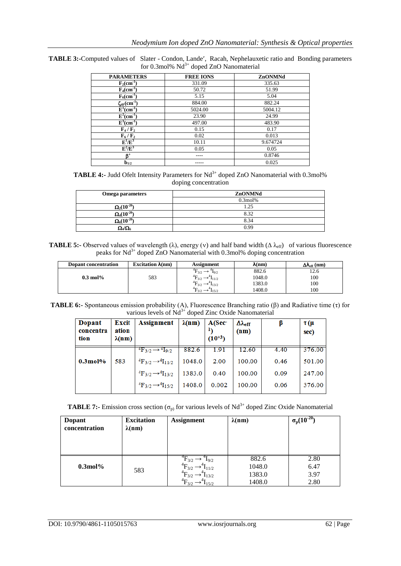| <b>PARAMETERS</b>                             | <b>FREE IONS</b> | ZnONMNd  |
|-----------------------------------------------|------------------|----------|
| $F_2$ (cm <sup>-1</sup> )                     | 331.09           | 335.63   |
| $F_4$ (cm <sup>-1</sup> )                     | 50.72            | 51.99    |
| $F_6$ (cm <sup>-1</sup> )                     | 5.15             | 5.04     |
| $\zeta_{4F}(cm^{-1})$                         | 884.00           | 882.24   |
| $E^1$ (cm <sup>-1</sup> )                     | 5024.00          | 5004.12  |
| $\overline{\mathrm{E}}^2$ (cm <sup>-1</sup> ) | 23.90            | 24.99    |
| $\overline{\mathrm{E}}^3(\mathrm{cm}^{-1})$   | 497.00           | 483.90   |
| $F_4/F_2$                                     | 0.15             | 0.17     |
| $\mathbf{F}_6/\mathbf{F}_2$                   | 0.02             | 0.013    |
| $\mathbf{E}^1/\mathbf{E}^3$                   | 10.11            | 9.674724 |
| $\mathbf{E}^2/\mathbf{E}^3$                   | 0.05             | 0.05     |
| B,                                            |                  | 0.8746   |
| $b_{1/2}$                                     |                  | 0.025    |

TABLE 3:-Computed values of Slater - Condon, Lande', Racah, Nephelauxetic ratio and Bonding parameters for 0.3mol% Nd<sup>3+</sup> doped ZnO Nanomaterial

**TABLE 4:-** Judd Ofelt Intensity Parameters for Nd<sup>3+</sup> doped ZnO Nanomaterial with 0.3mol% doping concentration

| Omega parameters                | ZnONMNd    |
|---------------------------------|------------|
|                                 | $0.3$ mol% |
| $\overline{\Omega_2}(10^{-20}$  | 1.25       |
| $\Omega_4(10^{-20}$             | 8.32       |
| $\overline{\Omega_6(10^{-20}})$ | 8.34       |
| $\Omega_4/\Omega_6$             | 0.99       |

**TABLE 5:-** Observed values of wavelength ( $\lambda$ ), energy (v) and half band width ( $\Delta \lambda_{eff}$ ) of various fluorescence peaks for Nd<sup>3+</sup> doped ZnO Nanomaterial with 0.3mol% doping concentration

| Dopant concentration | Excitation $\lambda$ (nm) | <b>Assignment</b>                                  | $\lambda(nm)$ | $\Delta\lambda_{\rm eff}$ (nm) |
|----------------------|---------------------------|----------------------------------------------------|---------------|--------------------------------|
|                      |                           | $\mathrm{^{4}F_{3/2}}$ .<br>19/2                   | 882.6         | 12.6                           |
| $0.3 \text{ mol}$ %  | 583                       | $^{4}F_{3/2}$<br>$\rightarrow$ $\mathbf{I}_{11/2}$ | 1048.0        | 100                            |
|                      |                           | ${}^{4}F_{3/2} \rightarrow {}^{4}I_{13/2}$         | 1383.0        | 100                            |
|                      |                           | $\rightarrow$ 1 <sub>15/2</sub>                    | 1408.0        | 100                            |

**TABLE 6:-** Spontaneous emission probability (A), Fluorescence Branching ratio (β) and Radiative time (τ) for various levels of  $Nd^{3+}$  doped Zinc Oxide Nanomaterial

| Dopant<br>concentra<br>tion | Excit<br>ation<br>$\lambda(nm)$ | Assignment                                                                               | $\lambda(nm)$    | $A(Sec-)$<br>$(10^{+3})$ | $\Delta\lambda_{\rm eff}$<br>(nm) |              | $\tau$ (µ<br>sec) |
|-----------------------------|---------------------------------|------------------------------------------------------------------------------------------|------------------|--------------------------|-----------------------------------|--------------|-------------------|
| $0.3$ mol $%$               |                                 | ${}^{4}F_{3/2} \rightarrow {}^{4}I_{9/2}$                                                | 882.6            | 1.91<br>2.00             | 12.60<br>100.00                   | 4.40         | 376.00<br>501.00  |
|                             | 583                             | ${}^{4}F_{3/2} \rightarrow {}^{4}I_{11/2}$<br>${}^{4}F_{3/2} \rightarrow {}^{4}I_{13/2}$ | 1048.0<br>1383.0 | 0.40                     | 100.00                            | 0.46<br>0.09 | 247.00            |
|                             |                                 | ${}^{4}F_{3/2} \rightarrow {}^{4}I_{15/2}$                                               | 1408.0           | 0.002                    | 100.00                            | 0.06         | 376.00            |

| Dopant<br>concentration | <b>Excitation</b><br>$\lambda$ (nm) | <b>Assignment</b>                                                                                                             | $\lambda$ (nm)                      | $\sigma_p(10^{-20})$         |
|-------------------------|-------------------------------------|-------------------------------------------------------------------------------------------------------------------------------|-------------------------------------|------------------------------|
| $0.3$ mol $%$           | 583                                 | $^{4}F_{3/2}$<br>$I_{9/2}$<br>$\mathrm{^{4}F_{3/2}}$<br>$1_{11/2}$<br>${}^{4}F_{3/2}$<br>$1_{13/2}$<br>$^{4}F_{3/2}$<br>115/2 | 882.6<br>1048.0<br>1383.0<br>1408.0 | 2.80<br>6.47<br>3.97<br>2.80 |